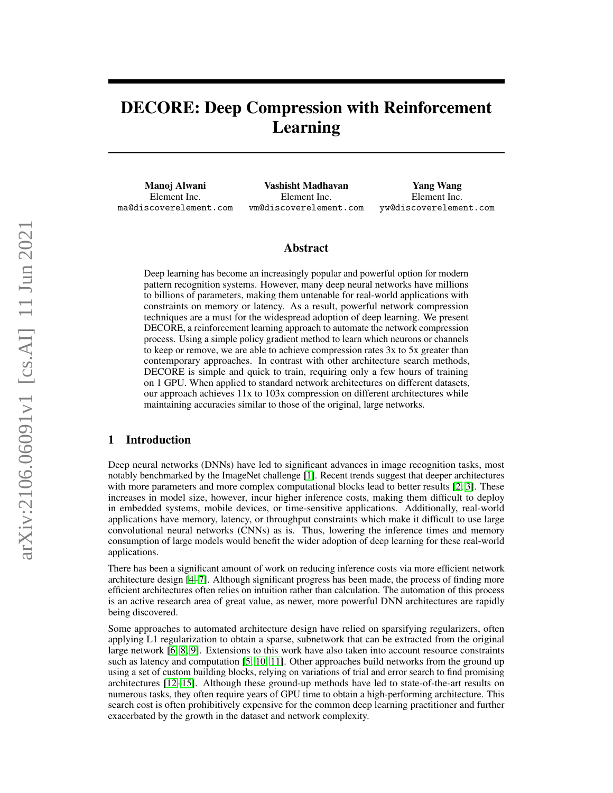# DECORE: Deep Compression with Reinforcement Learning

Manoj Alwani Element Inc. ma@discoverelement.com

Vashisht Madhavan Element Inc. vm@discoverelement.com

Yang Wang Element Inc. yw@discoverelement.com

### Abstract

Deep learning has become an increasingly popular and powerful option for modern pattern recognition systems. However, many deep neural networks have millions to billions of parameters, making them untenable for real-world applications with constraints on memory or latency. As a result, powerful network compression techniques are a must for the widespread adoption of deep learning. We present DECORE, a reinforcement learning approach to automate the network compression process. Using a simple policy gradient method to learn which neurons or channels to keep or remove, we are able to achieve compression rates 3x to 5x greater than contemporary approaches. In contrast with other architecture search methods, DECORE is simple and quick to train, requiring only a few hours of training on 1 GPU. When applied to standard network architectures on different datasets, our approach achieves 11x to 103x compression on different architectures while maintaining accuracies similar to those of the original, large networks.

# 1 Introduction

Deep neural networks (DNNs) have led to significant advances in image recognition tasks, most notably benchmarked by the ImageNet challenge [\[1\]](#page-9-0). Recent trends suggest that deeper architectures with more parameters and more complex computational blocks lead to better results [\[2,](#page-9-1) [3\]](#page-9-2). These increases in model size, however, incur higher inference costs, making them difficult to deploy in embedded systems, mobile devices, or time-sensitive applications. Additionally, real-world applications have memory, latency, or throughput constraints which make it difficult to use large convolutional neural networks (CNNs) as is. Thus, lowering the inference times and memory consumption of large models would benefit the wider adoption of deep learning for these real-world applications.

There has been a significant amount of work on reducing inference costs via more efficient network architecture design [\[4–](#page-9-3)[7\]](#page-9-4). Although significant progress has been made, the process of finding more efficient architectures often relies on intuition rather than calculation. The automation of this process is an active research area of great value, as newer, more powerful DNN architectures are rapidly being discovered.

Some approaches to automated architecture design have relied on sparsifying regularizers, often applying L1 regularization to obtain a sparse, subnetwork that can be extracted from the original large network [\[6,](#page-9-5) [8,](#page-9-6) [9\]](#page-9-7). Extensions to this work have also taken into account resource constraints such as latency and computation [\[5,](#page-9-8) [10,](#page-9-9) [11\]](#page-9-10). Other approaches build networks from the ground up using a set of custom building blocks, relying on variations of trial and error search to find promising architectures [\[12](#page-9-11)[–15\]](#page-10-0). Although these ground-up methods have led to state-of-the-art results on numerous tasks, they often require years of GPU time to obtain a high-performing architecture. This search cost is often prohibitively expensive for the common deep learning practitioner and further exacerbated by the growth in the dataset and network complexity.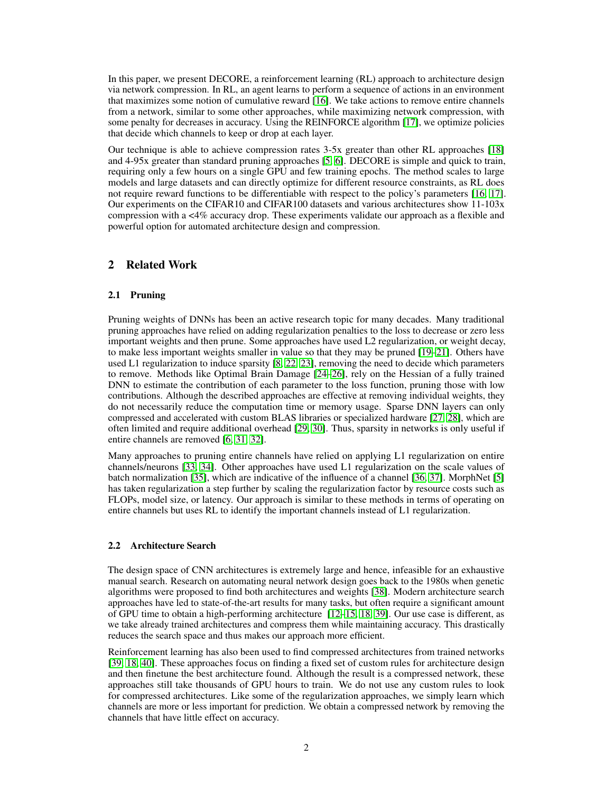In this paper, we present DECORE, a reinforcement learning (RL) approach to architecture design via network compression. In RL, an agent learns to perform a sequence of actions in an environment that maximizes some notion of cumulative reward [\[16\]](#page-10-1). We take actions to remove entire channels from a network, similar to some other approaches, while maximizing network compression, with some penalty for decreases in accuracy. Using the REINFORCE algorithm [\[17\]](#page-10-2), we optimize policies that decide which channels to keep or drop at each layer.

Our technique is able to achieve compression rates 3-5x greater than other RL approaches [\[18\]](#page-10-3) and 4-95x greater than standard pruning approaches [\[5,](#page-9-8) [6\]](#page-9-5). DECORE is simple and quick to train, requiring only a few hours on a single GPU and few training epochs. The method scales to large models and large datasets and can directly optimize for different resource constraints, as RL does not require reward functions to be differentiable with respect to the policy's parameters [\[16,](#page-10-1) [17\]](#page-10-2). Our experiments on the CIFAR10 and CIFAR100 datasets and various architectures show 11-103x compression with a <4% accuracy drop. These experiments validate our approach as a flexible and powerful option for automated architecture design and compression.

# 2 Related Work

### 2.1 Pruning

Pruning weights of DNNs has been an active research topic for many decades. Many traditional pruning approaches have relied on adding regularization penalties to the loss to decrease or zero less important weights and then prune. Some approaches have used L2 regularization, or weight decay, to make less important weights smaller in value so that they may be pruned [\[19–](#page-10-4)[21\]](#page-10-5). Others have used L1 regularization to induce sparsity [\[8,](#page-9-6) [22,](#page-10-6) [23\]](#page-10-7), removing the need to decide which parameters to remove. Methods like Optimal Brain Damage [\[24–](#page-10-8)[26\]](#page-10-9), rely on the Hessian of a fully trained DNN to estimate the contribution of each parameter to the loss function, pruning those with low contributions. Although the described approaches are effective at removing individual weights, they do not necessarily reduce the computation time or memory usage. Sparse DNN layers can only compressed and accelerated with custom BLAS libraries or specialized hardware [\[27,](#page-10-10) [28\]](#page-10-11), which are often limited and require additional overhead [\[29,](#page-10-12) [30\]](#page-10-13). Thus, sparsity in networks is only useful if entire channels are removed [\[6,](#page-9-5) [31,](#page-10-14) [32\]](#page-10-15).

Many approaches to pruning entire channels have relied on applying L1 regularization on entire channels/neurons [\[33,](#page-10-16) [34\]](#page-10-17). Other approaches have used L1 regularization on the scale values of batch normalization [\[35\]](#page-11-0), which are indicative of the influence of a channel [\[36,](#page-11-1) [37\]](#page-11-2). MorphNet [\[5\]](#page-9-8) has taken regularization a step further by scaling the regularization factor by resource costs such as FLOPs, model size, or latency. Our approach is similar to these methods in terms of operating on entire channels but uses RL to identify the important channels instead of L1 regularization.

### 2.2 Architecture Search

The design space of CNN architectures is extremely large and hence, infeasible for an exhaustive manual search. Research on automating neural network design goes back to the 1980s when genetic algorithms were proposed to find both architectures and weights [\[38\]](#page-11-3). Modern architecture search approaches have led to state-of-the-art results for many tasks, but often require a significant amount of GPU time to obtain a high-performing architecture [\[12](#page-9-11)[–15,](#page-10-0) [18,](#page-10-3) [39\]](#page-11-4). Our use case is different, as we take already trained architectures and compress them while maintaining accuracy. This drastically reduces the search space and thus makes our approach more efficient.

Reinforcement learning has also been used to find compressed architectures from trained networks [\[39,](#page-11-4) [18,](#page-10-3) [40\]](#page-11-5). These approaches focus on finding a fixed set of custom rules for architecture design and then finetune the best architecture found. Although the result is a compressed network, these approaches still take thousands of GPU hours to train. We do not use any custom rules to look for compressed architectures. Like some of the regularization approaches, we simply learn which channels are more or less important for prediction. We obtain a compressed network by removing the channels that have little effect on accuracy.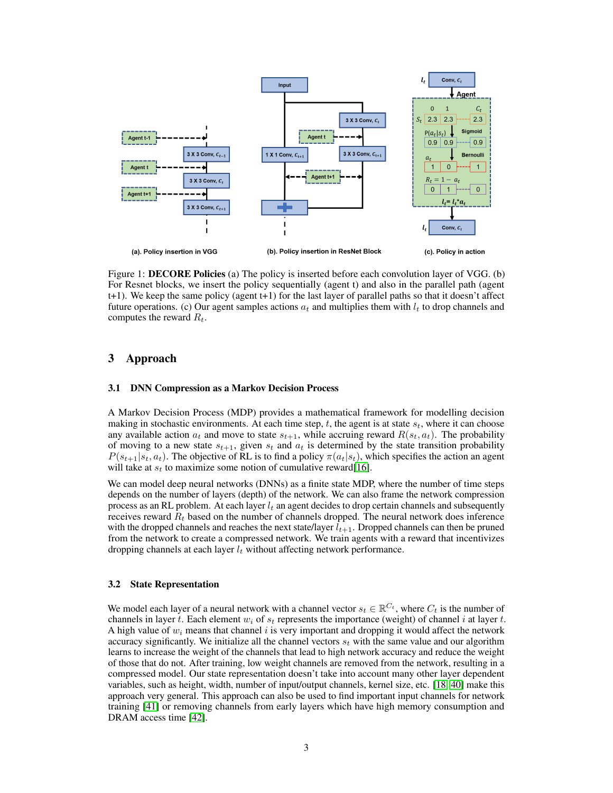

<span id="page-2-0"></span>Figure 1: DECORE Policies (a) The policy is inserted before each convolution layer of VGG. (b) For Resnet blocks, we insert the policy sequentially (agent t) and also in the parallel path (agent t+1). We keep the same policy (agent t+1) for the last layer of parallel paths so that it doesn't affect future operations. (c) Our agent samples actions  $a_t$  and multiplies them with  $l_t$  to drop channels and computes the reward  $R_t$ .

## 3 Approach

#### 3.1 DNN Compression as a Markov Decision Process

A Markov Decision Process (MDP) provides a mathematical framework for modelling decision making in stochastic environments. At each time step,  $t$ , the agent is at state  $s_t$ , where it can choose any available action  $a_t$  and move to state  $s_{t+1}$ , while accruing reward  $R(s_t, a_t)$ . The probability of moving to a new state  $s_{t+1}$ , given  $s_t$  and  $a_t$  is determined by the state transition probability  $P(s_{t+1}|s_t, a_t)$ . The objective of RL is to find a policy  $\pi(a_t|s_t)$ , which specifies the action an agent will take at  $s_t$  to maximize some notion of cumulative reward [\[16\]](#page-10-1).

We can model deep neural networks (DNNs) as a finite state MDP, where the number of time steps depends on the number of layers (depth) of the network. We can also frame the network compression process as an RL problem. At each layer  $l_t$  an agent decides to drop certain channels and subsequently receives reward  $R_t$  based on the number of channels dropped. The neural network does inference with the dropped channels and reaches the next state/layer  $l_{t+1}$ . Dropped channels can then be pruned from the network to create a compressed network. We train agents with a reward that incentivizes dropping channels at each layer  $l_t$  without affecting network performance.

### 3.2 State Representation

We model each layer of a neural network with a channel vector  $s_t \in \mathbb{R}^{C_t}$ , where  $C_t$  is the number of channels in layer t. Each element  $w_i$  of  $s_t$  represents the importance (weight) of channel i at layer t. A high value of  $w_i$  means that channel i is very important and dropping it would affect the network accuracy significantly. We initialize all the channel vectors  $s_t$  with the same value and our algorithm learns to increase the weight of the channels that lead to high network accuracy and reduce the weight of those that do not. After training, low weight channels are removed from the network, resulting in a compressed model. Our state representation doesn't take into account many other layer dependent variables, such as height, width, number of input/output channels, kernel size, etc. [\[18,](#page-10-3) [40\]](#page-11-5) make this approach very general. This approach can also be used to find important input channels for network training [\[41\]](#page-11-6) or removing channels from early layers which have high memory consumption and DRAM access time [\[42\]](#page-11-7).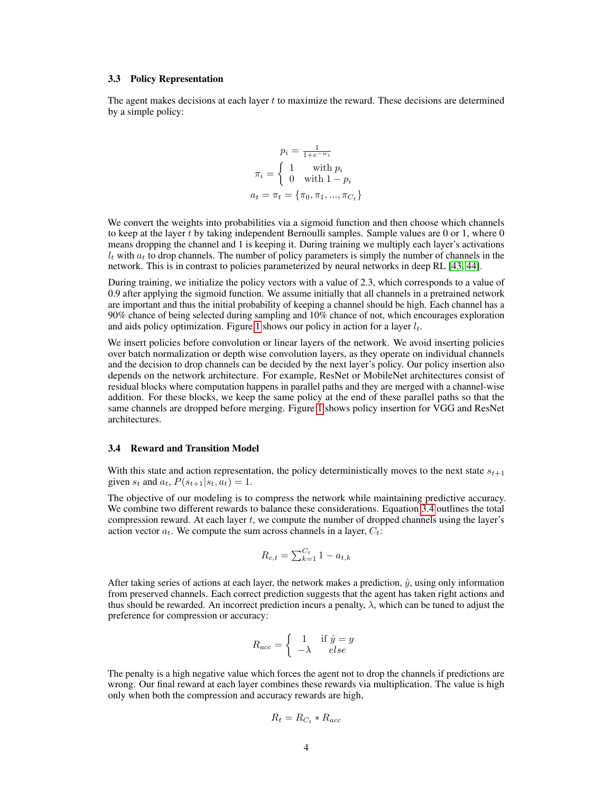#### <span id="page-3-1"></span>3.3 Policy Representation

The agent makes decisions at each layer t to maximize the reward. These decisions are determined by a simple policy:

$$
p_i = \frac{1}{1 + e^{-w_i}}
$$

$$
\pi_i = \begin{cases} 1 & \text{with } p_i \\ 0 & \text{with } 1 - p_i \end{cases}
$$

$$
a_t = \pi_t = \{\pi_0, \pi_1, ..., \pi_{C_t}\}
$$

We convert the weights into probabilities via a sigmoid function and then choose which channels to keep at the layer t by taking independent Bernoulli samples. Sample values are 0 or 1, where 0 means dropping the channel and 1 is keeping it. During training we multiply each layer's activations  $l_t$  with  $a_t$  to drop channels. The number of policy parameters is simply the number of channels in the network. This is in contrast to policies parameterized by neural networks in deep RL [\[43,](#page-11-8) [44\]](#page-11-9).

During training, we initialize the policy vectors with a value of 2.3, which corresponds to a value of 0.9 after applying the sigmoid function. We assume initially that all channels in a pretrained network are important and thus the initial probability of keeping a channel should be high. Each channel has a 90% chance of being selected during sampling and 10% chance of not, which encourages exploration and aids policy optimization. Figure [1](#page-2-0) shows our policy in action for a layer  $l_t$ .

We insert policies before convolution or linear layers of the network. We avoid inserting policies over batch normalization or depth wise convolution layers, as they operate on individual channels and the decision to drop channels can be decided by the next layer's policy. Our policy insertion also depends on the network architecture. For example, ResNet or MobileNet architectures consist of residual blocks where computation happens in parallel paths and they are merged with a channel-wise addition. For these blocks, we keep the same policy at the end of these parallel paths so that the same channels are dropped before merging. Figure [1](#page-2-0) shows policy insertion for VGG and ResNet architectures.

#### <span id="page-3-0"></span>3.4 Reward and Transition Model

With this state and action representation, the policy deterministically moves to the next state  $s_{t+1}$ given  $s_t$  and  $a_t$ ,  $P(s_{t+1}|s_t, a_t) = 1$ .

The objective of our modeling is to compress the network while maintaining predictive accuracy. We combine two different rewards to balance these considerations. Equation [3.4](#page-3-0) outlines the total compression reward. At each layer  $t$ , we compute the number of dropped channels using the layer's action vector  $a_t$ . We compute the sum across channels in a layer,  $C_t$ :

$$
R_{c,t} = \sum_{k=1}^{C_t} 1 - a_{t,k}
$$

After taking series of actions at each layer, the network makes a prediction,  $\hat{y}$ , using only information from preserved channels. Each correct prediction suggests that the agent has taken right actions and thus should be rewarded. An incorrect prediction incurs a penalty,  $\lambda$ , which can be tuned to adjust the preference for compression or accuracy:

$$
R_{acc} = \begin{cases} 1 & \text{if } \hat{y} = y \\ -\lambda & else \end{cases}
$$

The penalty is a high negative value which forces the agent not to drop the channels if predictions are wrong. Our final reward at each layer combines these rewards via multiplication. The value is high only when both the compression and accuracy rewards are high,

$$
R_t = R_{C_t} * R_{acc}
$$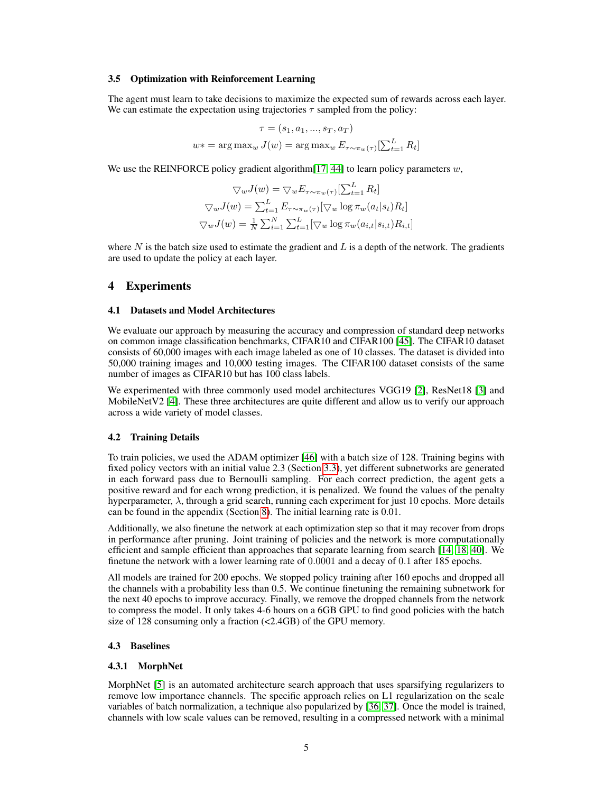#### 3.5 Optimization with Reinforcement Learning

The agent must learn to take decisions to maximize the expected sum of rewards across each layer. We can estimate the expectation using trajectories  $\tau$  sampled from the policy:

$$
\tau = (s_1, a_1, ..., s_T, a_T)
$$
  

$$
w* = \arg \max_{w} J(w) = \arg \max_{w} E_{\tau \sim \pi_w(\tau)}[\sum_{t=1}^{L} R_t]
$$

We use the REINFORCE policy gradient algorithm [\[17,](#page-10-2) [44\]](#page-11-9) to learn policy parameters  $w$ ,

$$
\nabla_w J(w) = \nabla_w E_{\tau \sim \pi_w(\tau)}[\sum_{t=1}^L R_t]
$$

$$
\nabla_w J(w) = \sum_{t=1}^L E_{\tau \sim \pi_w(\tau)}[\nabla_w \log \pi_w(a_t|s_t) R_t]
$$

$$
\nabla_w J(w) = \frac{1}{N} \sum_{i=1}^N \sum_{t=1}^L [\nabla_w \log \pi_w(a_{i,t}|s_{i,t}) R_{i,t}]
$$

where  $N$  is the batch size used to estimate the gradient and  $L$  is a depth of the network. The gradients are used to update the policy at each layer.

# 4 Experiments

#### 4.1 Datasets and Model Architectures

We evaluate our approach by measuring the accuracy and compression of standard deep networks on common image classification benchmarks, CIFAR10 and CIFAR100 [\[45\]](#page-11-10). The CIFAR10 dataset consists of 60,000 images with each image labeled as one of 10 classes. The dataset is divided into 50,000 training images and 10,000 testing images. The CIFAR100 dataset consists of the same number of images as CIFAR10 but has 100 class labels.

We experimented with three commonly used model architectures VGG19 [\[2\]](#page-9-1), ResNet18 [\[3\]](#page-9-2) and MobileNetV2 [\[4\]](#page-9-3). These three architectures are quite different and allow us to verify our approach across a wide variety of model classes.

#### <span id="page-4-0"></span>4.2 Training Details

To train policies, we used the ADAM optimizer [\[46\]](#page-11-11) with a batch size of 128. Training begins with fixed policy vectors with an initial value 2.3 (Section [3.3\)](#page-3-1), yet different subnetworks are generated in each forward pass due to Bernoulli sampling. For each correct prediction, the agent gets a positive reward and for each wrong prediction, it is penalized. We found the values of the penalty hyperparameter,  $\lambda$ , through a grid search, running each experiment for just 10 epochs. More details can be found in the appendix (Section [8\)](#page-12-0). The initial learning rate is 0.01.

Additionally, we also finetune the network at each optimization step so that it may recover from drops in performance after pruning. Joint training of policies and the network is more computationally efficient and sample efficient than approaches that separate learning from search [\[14,](#page-10-18) [18,](#page-10-3) [40\]](#page-11-5). We finetune the network with a lower learning rate of 0.0001 and a decay of 0.1 after 185 epochs.

All models are trained for 200 epochs. We stopped policy training after 160 epochs and dropped all the channels with a probability less than 0.5. We continue finetuning the remaining subnetwork for the next 40 epochs to improve accuracy. Finally, we remove the dropped channels from the network to compress the model. It only takes 4-6 hours on a 6GB GPU to find good policies with the batch size of 128 consuming only a fraction (<2.4GB) of the GPU memory.

#### 4.3 Baselines

#### 4.3.1 MorphNet

MorphNet [\[5\]](#page-9-8) is an automated architecture search approach that uses sparsifying regularizers to remove low importance channels. The specific approach relies on L1 regularization on the scale variables of batch normalization, a technique also popularized by [\[36,](#page-11-1) [37\]](#page-11-2). Once the model is trained, channels with low scale values can be removed, resulting in a compressed network with a minimal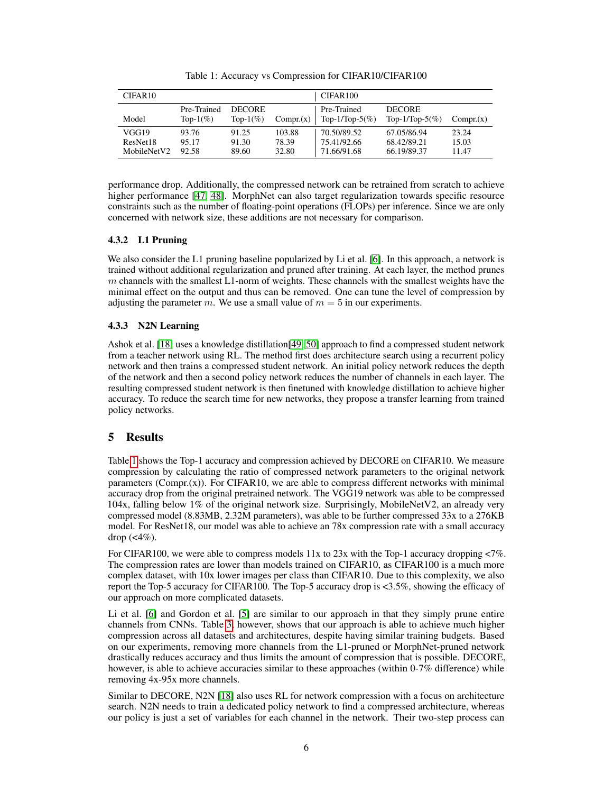| CIFAR <sub>10</sub>              |                             |                               |                          | CIFAR100                                  |                                           |                         |
|----------------------------------|-----------------------------|-------------------------------|--------------------------|-------------------------------------------|-------------------------------------------|-------------------------|
| Model                            | Pre-Trained<br>Top- $1\%$ ) | <b>DECORE</b><br>Top- $1\%$ ) | Comp <sub>r</sub> (x)    | Pre-Trained<br>Top-1/Top-5(%)             | <b>DECORE</b><br>Top-1/Top-5(%)           | Compr(x)                |
| VGG19<br>ResNet18<br>MobileNetV2 | 93.76<br>95.17<br>92.58     | 91.25<br>91.30<br>89.60       | 103.88<br>78.39<br>32.80 | 70.50/89.52<br>75.41/92.66<br>71.66/91.68 | 67.05/86.94<br>68.42/89.21<br>66.19/89.37 | 23.24<br>15.03<br>11.47 |

<span id="page-5-0"></span>Table 1: Accuracy vs Compression for CIFAR10/CIFAR100

performance drop. Additionally, the compressed network can be retrained from scratch to achieve higher performance [\[47,](#page-11-12) [48\]](#page-11-13). MorphNet can also target regularization towards specific resource constraints such as the number of floating-point operations (FLOPs) per inference. Since we are only concerned with network size, these additions are not necessary for comparison.

# 4.3.2 L1 Pruning

We also consider the L1 pruning baseline popularized by Li et al. [\[6\]](#page-9-5). In this approach, a network is trained without additional regularization and pruned after training. At each layer, the method prunes  $m$  channels with the smallest L1-norm of weights. These channels with the smallest weights have the minimal effect on the output and thus can be removed. One can tune the level of compression by adjusting the parameter m. We use a small value of  $m = 5$  in our experiments.

# 4.3.3 N2N Learning

Ashok et al. [\[18\]](#page-10-3) uses a knowledge distillation[\[49,](#page-11-14) [50\]](#page-11-15) approach to find a compressed student network from a teacher network using RL. The method first does architecture search using a recurrent policy network and then trains a compressed student network. An initial policy network reduces the depth of the network and then a second policy network reduces the number of channels in each layer. The resulting compressed student network is then finetuned with knowledge distillation to achieve higher accuracy. To reduce the search time for new networks, they propose a transfer learning from trained policy networks.

# 5 Results

Table [1](#page-5-0) shows the Top-1 accuracy and compression achieved by DECORE on CIFAR10. We measure compression by calculating the ratio of compressed network parameters to the original network parameters (Compr. $(x)$ ). For CIFAR10, we are able to compress different networks with minimal accuracy drop from the original pretrained network. The VGG19 network was able to be compressed 104x, falling below 1% of the original network size. Surprisingly, MobileNetV2, an already very compressed model (8.83MB, 2.32M parameters), was able to be further compressed 33x to a 276KB model. For ResNet18, our model was able to achieve an 78x compression rate with a small accuracy drop  $(\leq 4\%)$ .

For CIFAR100, we were able to compress models 11x to 23x with the Top-1 accuracy dropping <7%. The compression rates are lower than models trained on CIFAR10, as CIFAR100 is a much more complex dataset, with 10x lower images per class than CIFAR10. Due to this complexity, we also report the Top-5 accuracy for CIFAR100. The Top-5 accuracy drop is <3.5%, showing the efficacy of our approach on more complicated datasets.

Li et al. [\[6\]](#page-9-5) and Gordon et al. [\[5\]](#page-9-8) are similar to our approach in that they simply prune entire channels from CNNs. Table [3,](#page-6-0) however, shows that our approach is able to achieve much higher compression across all datasets and architectures, despite having similar training budgets. Based on our experiments, removing more channels from the L1-pruned or MorphNet-pruned network drastically reduces accuracy and thus limits the amount of compression that is possible. DECORE, however, is able to achieve accuracies similar to these approaches (within 0-7% difference) while removing 4x-95x more channels.

Similar to DECORE, N2N [\[18\]](#page-10-3) also uses RL for network compression with a focus on architecture search. N2N needs to train a dedicated policy network to find a compressed architecture, whereas our policy is just a set of variables for each channel in the network. Their two-step process can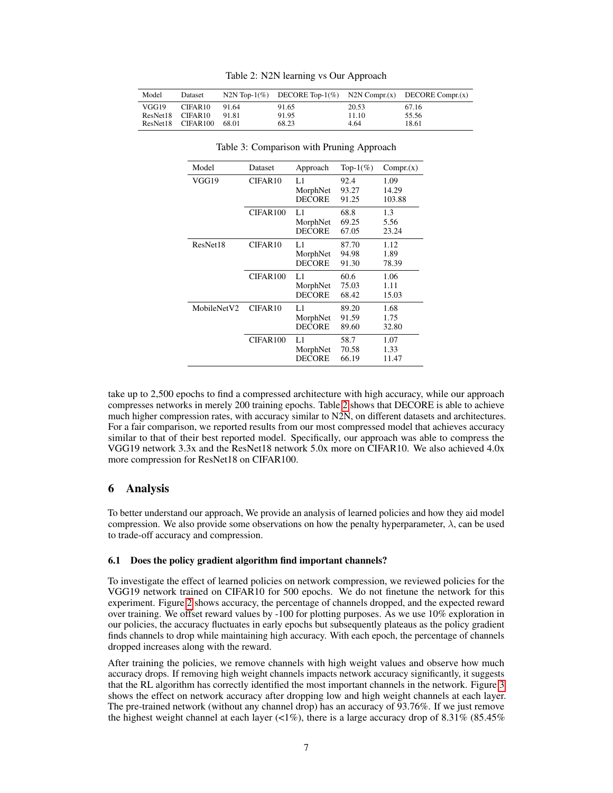| Model | Dataset             |       |       |       | N2N Top-1(%) DECORE Top-1(%) N2N Compr.(x) DECORE Compr.(x) |
|-------|---------------------|-------|-------|-------|-------------------------------------------------------------|
| VGG19 | CIFAR <sub>10</sub> | 91.64 | 91.65 | 20.53 | 67.16                                                       |
|       | ResNet18 CIFAR10    | 91.81 | 91.95 | 11.10 | 55.56                                                       |
|       | ResNet18 CIFAR100   | 68.01 | 68.23 | 4.64  | 18.61                                                       |

<span id="page-6-1"></span>Table 2: N2N learning vs Our Approach

| Model       | Dataset              | Approach                        | Top- $1\%$ )            | Comp <sub>r</sub> (x)   |
|-------------|----------------------|---------------------------------|-------------------------|-------------------------|
| VGG19       | CIFAR <sub>10</sub>  | LI<br>MorphNet<br><b>DECORE</b> | 92.4<br>93.27<br>91.25  | 1.09<br>14.29<br>103.88 |
|             | CIFAR <sub>100</sub> | LI<br>MorphNet<br><b>DECORE</b> | 68.8<br>69.25<br>67.05  | 1.3<br>5.56<br>23.24    |
| ResNet18    | CIFAR <sub>10</sub>  | L1<br>MorphNet<br><b>DECORE</b> | 87.70<br>94.98<br>91.30 | 1.12<br>1.89<br>78.39   |
|             | CIFAR <sub>100</sub> | LI<br>MorphNet<br><b>DECORE</b> | 60.6<br>75.03<br>68.42  | 1.06<br>1.11<br>15.03   |
| MobileNetV2 | CIFAR <sub>10</sub>  | LI<br>MorphNet<br><b>DECORE</b> | 89.20<br>91.59<br>89.60 | 1.68<br>1.75<br>32.80   |
|             | CIFAR100             | LI<br>MorphNet<br><b>DECORE</b> | 58.7<br>70.58<br>66.19  | 1.07<br>1.33<br>11.47   |

<span id="page-6-0"></span>Table 3: Comparison with Pruning Approach

take up to 2,500 epochs to find a compressed architecture with high accuracy, while our approach compresses networks in merely 200 training epochs. Table [2](#page-6-1) shows that DECORE is able to achieve much higher compression rates, with accuracy similar to N2N, on different datasets and architectures. For a fair comparison, we reported results from our most compressed model that achieves accuracy similar to that of their best reported model. Specifically, our approach was able to compress the VGG19 network 3.3x and the ResNet18 network 5.0x more on CIFAR10. We also achieved 4.0x more compression for ResNet18 on CIFAR100.

### 6 Analysis

To better understand our approach, We provide an analysis of learned policies and how they aid model compression. We also provide some observations on how the penalty hyperparameter,  $\lambda$ , can be used to trade-off accuracy and compression.

### 6.1 Does the policy gradient algorithm find important channels?

To investigate the effect of learned policies on network compression, we reviewed policies for the VGG19 network trained on CIFAR10 for 500 epochs. We do not finetune the network for this experiment. Figure [2](#page-7-0) shows accuracy, the percentage of channels dropped, and the expected reward over training. We offset reward values by -100 for plotting purposes. As we use 10% exploration in our policies, the accuracy fluctuates in early epochs but subsequently plateaus as the policy gradient finds channels to drop while maintaining high accuracy. With each epoch, the percentage of channels dropped increases along with the reward.

After training the policies, we remove channels with high weight values and observe how much accuracy drops. If removing high weight channels impacts network accuracy significantly, it suggests that the RL algorithm has correctly identified the most important channels in the network. Figure [3](#page-7-1) shows the effect on network accuracy after dropping low and high weight channels at each layer. The pre-trained network (without any channel drop) has an accuracy of 93.76%. If we just remove the highest weight channel at each layer (<1%), there is a large accuracy drop of  $8.31\%$  ( $85.45\%$ )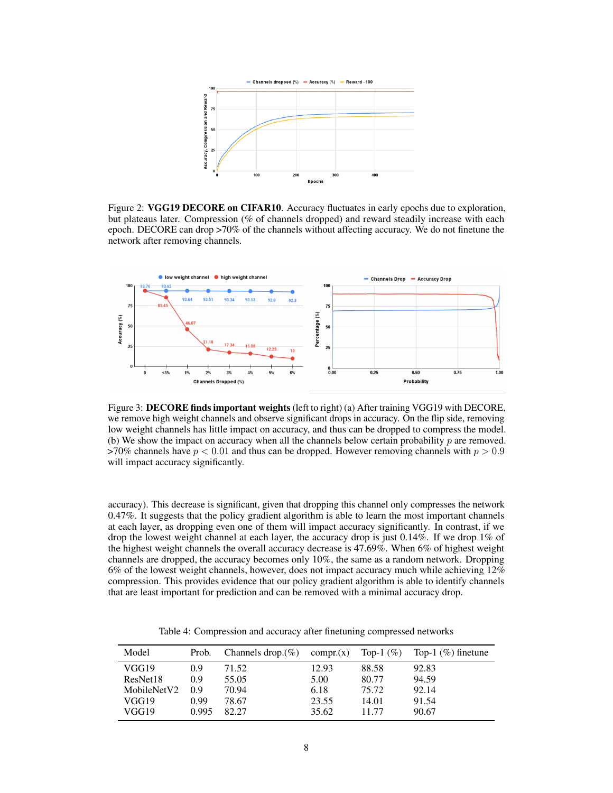

<span id="page-7-0"></span>Figure 2: VGG19 DECORE on CIFAR10. Accuracy fluctuates in early epochs due to exploration, but plateaus later. Compression (% of channels dropped) and reward steadily increase with each epoch. DECORE can drop >70% of the channels without affecting accuracy. We do not finetune the network after removing channels.



<span id="page-7-1"></span>Figure 3: **DECORE finds important weights** (left to right) (a) After training VGG19 with DECORE, we remove high weight channels and observe significant drops in accuracy. On the flip side, removing low weight channels has little impact on accuracy, and thus can be dropped to compress the model. (b) We show the impact on accuracy when all the channels below certain probability  $p$  are removed. >70% channels have  $p < 0.01$  and thus can be dropped. However removing channels with  $p > 0.9$ will impact accuracy significantly.

accuracy). This decrease is significant, given that dropping this channel only compresses the network 0.47%. It suggests that the policy gradient algorithm is able to learn the most important channels at each layer, as dropping even one of them will impact accuracy significantly. In contrast, if we drop the lowest weight channel at each layer, the accuracy drop is just 0.14%. If we drop 1% of the highest weight channels the overall accuracy decrease is 47.69%. When 6% of highest weight channels are dropped, the accuracy becomes only 10%, the same as a random network. Dropping 6% of the lowest weight channels, however, does not impact accuracy much while achieving 12% compression. This provides evidence that our policy gradient algorithm is able to identify channels that are least important for prediction and can be removed with a minimal accuracy drop.

<span id="page-7-2"></span>Table 4: Compression and accuracy after finetuning compressed networks

| Model       | Prob. | Channels drop. $(\%)$ | compr(x) | Top-1 $(\%)$ | Top-1 $(\%)$ finetune |
|-------------|-------|-----------------------|----------|--------------|-----------------------|
| VGG19       | 0.9   | 71.52                 | 12.93    | 88.58        | 92.83                 |
| ResNet18    | 0.9   | 55.05                 | 5.00     | 80.77        | 94.59                 |
| MobileNetV2 | 0.9   | 70.94                 | 6.18     | 75.72        | 92.14                 |
| VGG19       | 0.99  | 78.67                 | 23.55    | 14.01        | 91.54                 |
| VGG19       | 0.995 | 82.27                 | 35.62    | 11 77        | 90.67                 |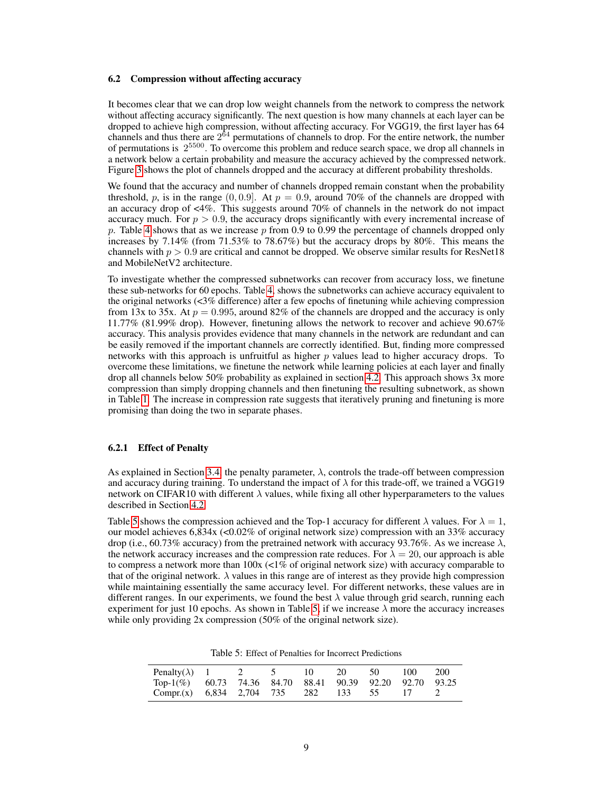### 6.2 Compression without affecting accuracy

It becomes clear that we can drop low weight channels from the network to compress the network without affecting accuracy significantly. The next question is how many channels at each layer can be dropped to achieve high compression, without affecting accuracy. For VGG19, the first layer has 64 channels and thus there are  $2^{64}$  permutations of channels to drop. For the entire network, the number of permutations is  $2^{5500}$ . To overcome this problem and reduce search space, we drop all channels in a network below a certain probability and measure the accuracy achieved by the compressed network. Figure [3](#page-7-1) shows the plot of channels dropped and the accuracy at different probability thresholds.

We found that the accuracy and number of channels dropped remain constant when the probability threshold, p, is in the range  $(0, 0.9]$ . At  $p = 0.9$ , around 70% of the channels are dropped with an accuracy drop of  $\lt 4\%$ . This suggests around 70% of channels in the network do not impact accuracy much. For  $p > 0.9$ , the accuracy drops significantly with every incremental increase of p. Table [4](#page-7-2) shows that as we increase p from 0.9 to 0.99 the percentage of channels dropped only increases by 7.14% (from 71.53% to 78.67%) but the accuracy drops by 80%. This means the channels with  $p > 0.9$  are critical and cannot be dropped. We observe similar results for ResNet18 and MobileNetV2 architecture.

To investigate whether the compressed subnetworks can recover from accuracy loss, we finetune these sub-networks for 60 epochs. Table [4,](#page-7-2) shows the subnetworks can achieve accuracy equivalent to the original networks  $\langle 3\%$  difference) after a few epochs of finetuning while achieving compression from 13x to 35x. At  $p = 0.995$ , around 82% of the channels are dropped and the accuracy is only 11.77% (81.99% drop). However, finetuning allows the network to recover and achieve 90.67% accuracy. This analysis provides evidence that many channels in the network are redundant and can be easily removed if the important channels are correctly identified. But, finding more compressed networks with this approach is unfruitful as higher  $p$  values lead to higher accuracy drops. To overcome these limitations, we finetune the network while learning policies at each layer and finally drop all channels below 50% probability as explained in section [4.2.](#page-4-0) This approach shows 3x more compression than simply dropping channels and then finetuning the resulting subnetwork, as shown in Table [1.](#page-5-0) The increase in compression rate suggests that iteratively pruning and finetuning is more promising than doing the two in separate phases.

### 6.2.1 Effect of Penalty

As explained in Section [3.4,](#page-3-0) the penalty parameter,  $\lambda$ , controls the trade-off between compression and accuracy during training. To understand the impact of  $\lambda$  for this trade-off, we trained a VGG19 network on CIFAR10 with different  $\lambda$  values, while fixing all other hyperparameters to the values described in Section [4.2.](#page-4-0)

Table [5](#page-8-0) shows the compression achieved and the Top-1 accuracy for different  $\lambda$  values. For  $\lambda = 1$ , our model achieves 6,834x (<0.02% of original network size) compression with an 33% accuracy drop (i.e., 60.73% accuracy) from the pretrained network with accuracy 93.76%. As we increase  $\lambda$ , the network accuracy increases and the compression rate reduces. For  $\lambda = 20$ , our approach is able to compress a network more than  $100x$  (<1% of original network size) with accuracy comparable to that of the original network.  $\lambda$  values in this range are of interest as they provide high compression while maintaining essentially the same accuracy level. For different networks, these values are in different ranges. In our experiments, we found the best  $\lambda$  value through grid search, running each experiment for just 10 epochs. As shown in Table [5,](#page-8-0) if we increase  $\lambda$  more the accuracy increases while only providing 2x compression (50% of the original network size).

<span id="page-8-0"></span>Table 5: Effect of Penalties for Incorrect Predictions

| Penalty( $\lambda$ ) 1 2 5                               |  | $\vert 0 \vert$ | 20 50 | 100 | -200 |
|----------------------------------------------------------|--|-----------------|-------|-----|------|
| Top-1(%) 60.73 74.36 84.70 88.41 90.39 92.20 92.70 93.25 |  |                 |       |     |      |
| Compr.(x) 6,834 2,704 735 282 133 55 17                  |  |                 |       |     |      |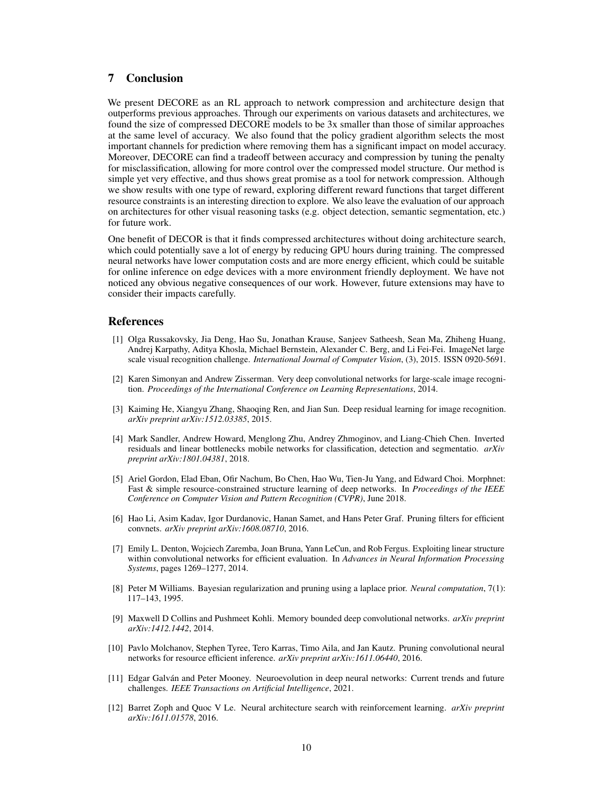## 7 Conclusion

We present DECORE as an RL approach to network compression and architecture design that outperforms previous approaches. Through our experiments on various datasets and architectures, we found the size of compressed DECORE models to be 3x smaller than those of similar approaches at the same level of accuracy. We also found that the policy gradient algorithm selects the most important channels for prediction where removing them has a significant impact on model accuracy. Moreover, DECORE can find a tradeoff between accuracy and compression by tuning the penalty for misclassification, allowing for more control over the compressed model structure. Our method is simple yet very effective, and thus shows great promise as a tool for network compression. Although we show results with one type of reward, exploring different reward functions that target different resource constraints is an interesting direction to explore. We also leave the evaluation of our approach on architectures for other visual reasoning tasks (e.g. object detection, semantic segmentation, etc.) for future work.

One benefit of DECOR is that it finds compressed architectures without doing architecture search, which could potentially save a lot of energy by reducing GPU hours during training. The compressed neural networks have lower computation costs and are more energy efficient, which could be suitable for online inference on edge devices with a more environment friendly deployment. We have not noticed any obvious negative consequences of our work. However, future extensions may have to consider their impacts carefully.

### References

- <span id="page-9-0"></span>[1] Olga Russakovsky, Jia Deng, Hao Su, Jonathan Krause, Sanjeev Satheesh, Sean Ma, Zhiheng Huang, Andrej Karpathy, Aditya Khosla, Michael Bernstein, Alexander C. Berg, and Li Fei-Fei. ImageNet large scale visual recognition challenge. *International Journal of Computer Vision*, (3), 2015. ISSN 0920-5691.
- <span id="page-9-1"></span>[2] Karen Simonyan and Andrew Zisserman. Very deep convolutional networks for large-scale image recognition. *Proceedings of the International Conference on Learning Representations*, 2014.
- <span id="page-9-2"></span>[3] Kaiming He, Xiangyu Zhang, Shaoqing Ren, and Jian Sun. Deep residual learning for image recognition. *arXiv preprint arXiv:1512.03385*, 2015.
- <span id="page-9-3"></span>[4] Mark Sandler, Andrew Howard, Menglong Zhu, Andrey Zhmoginov, and Liang-Chieh Chen. Inverted residuals and linear bottlenecks mobile networks for classification, detection and segmentatio. *arXiv preprint arXiv:1801.04381*, 2018.
- <span id="page-9-8"></span>[5] Ariel Gordon, Elad Eban, Ofir Nachum, Bo Chen, Hao Wu, Tien-Ju Yang, and Edward Choi. Morphnet: Fast & simple resource-constrained structure learning of deep networks. In *Proceedings of the IEEE Conference on Computer Vision and Pattern Recognition (CVPR)*, June 2018.
- <span id="page-9-5"></span>[6] Hao Li, Asim Kadav, Igor Durdanovic, Hanan Samet, and Hans Peter Graf. Pruning filters for efficient convnets. *arXiv preprint arXiv:1608.08710*, 2016.
- <span id="page-9-4"></span>[7] Emily L. Denton, Wojciech Zaremba, Joan Bruna, Yann LeCun, and Rob Fergus. Exploiting linear structure within convolutional networks for efficient evaluation. In *Advances in Neural Information Processing Systems*, pages 1269–1277, 2014.
- <span id="page-9-6"></span>[8] Peter M Williams. Bayesian regularization and pruning using a laplace prior. *Neural computation*, 7(1): 117–143, 1995.
- <span id="page-9-7"></span>[9] Maxwell D Collins and Pushmeet Kohli. Memory bounded deep convolutional networks. *arXiv preprint arXiv:1412.1442*, 2014.
- <span id="page-9-9"></span>[10] Pavlo Molchanov, Stephen Tyree, Tero Karras, Timo Aila, and Jan Kautz. Pruning convolutional neural networks for resource efficient inference. *arXiv preprint arXiv:1611.06440*, 2016.
- <span id="page-9-10"></span>[11] Edgar Galván and Peter Mooney. Neuroevolution in deep neural networks: Current trends and future challenges. *IEEE Transactions on Artificial Intelligence*, 2021.
- <span id="page-9-11"></span>[12] Barret Zoph and Quoc V Le. Neural architecture search with reinforcement learning. *arXiv preprint arXiv:1611.01578*, 2016.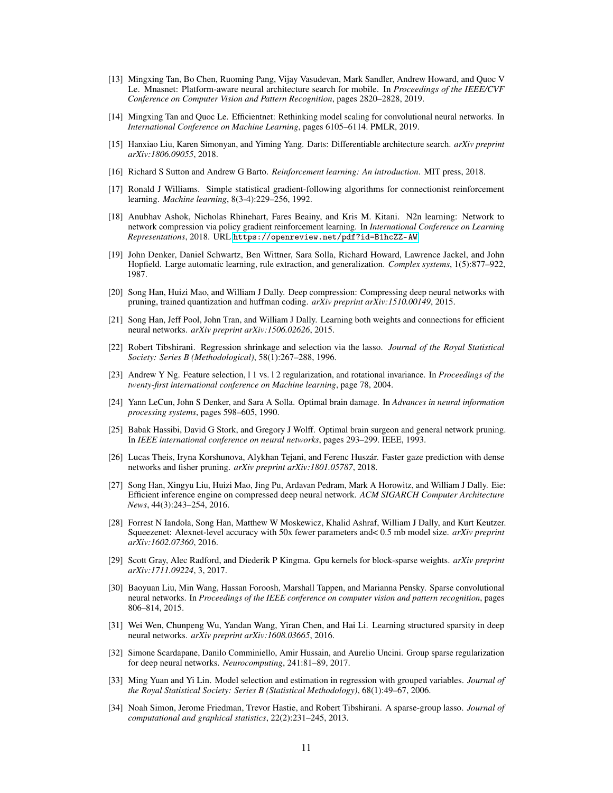- [13] Mingxing Tan, Bo Chen, Ruoming Pang, Vijay Vasudevan, Mark Sandler, Andrew Howard, and Quoc V Le. Mnasnet: Platform-aware neural architecture search for mobile. In *Proceedings of the IEEE/CVF Conference on Computer Vision and Pattern Recognition*, pages 2820–2828, 2019.
- <span id="page-10-18"></span>[14] Mingxing Tan and Quoc Le. Efficientnet: Rethinking model scaling for convolutional neural networks. In *International Conference on Machine Learning*, pages 6105–6114. PMLR, 2019.
- <span id="page-10-0"></span>[15] Hanxiao Liu, Karen Simonyan, and Yiming Yang. Darts: Differentiable architecture search. *arXiv preprint arXiv:1806.09055*, 2018.
- <span id="page-10-1"></span>[16] Richard S Sutton and Andrew G Barto. *Reinforcement learning: An introduction*. MIT press, 2018.
- <span id="page-10-2"></span>[17] Ronald J Williams. Simple statistical gradient-following algorithms for connectionist reinforcement learning. *Machine learning*, 8(3-4):229–256, 1992.
- <span id="page-10-3"></span>[18] Anubhav Ashok, Nicholas Rhinehart, Fares Beainy, and Kris M. Kitani. N2n learning: Network to network compression via policy gradient reinforcement learning. In *International Conference on Learning Representations*, 2018. URL <https://openreview.net/pdf?id=B1hcZZ-AW>.
- <span id="page-10-4"></span>[19] John Denker, Daniel Schwartz, Ben Wittner, Sara Solla, Richard Howard, Lawrence Jackel, and John Hopfield. Large automatic learning, rule extraction, and generalization. *Complex systems*, 1(5):877–922, 1987.
- [20] Song Han, Huizi Mao, and William J Dally. Deep compression: Compressing deep neural networks with pruning, trained quantization and huffman coding. *arXiv preprint arXiv:1510.00149*, 2015.
- <span id="page-10-5"></span>[21] Song Han, Jeff Pool, John Tran, and William J Dally. Learning both weights and connections for efficient neural networks. *arXiv preprint arXiv:1506.02626*, 2015.
- <span id="page-10-6"></span>[22] Robert Tibshirani. Regression shrinkage and selection via the lasso. *Journal of the Royal Statistical Society: Series B (Methodological)*, 58(1):267–288, 1996.
- <span id="page-10-7"></span>[23] Andrew Y Ng. Feature selection, l 1 vs. l 2 regularization, and rotational invariance. In *Proceedings of the twenty-first international conference on Machine learning*, page 78, 2004.
- <span id="page-10-8"></span>[24] Yann LeCun, John S Denker, and Sara A Solla. Optimal brain damage. In *Advances in neural information processing systems*, pages 598–605, 1990.
- [25] Babak Hassibi, David G Stork, and Gregory J Wolff. Optimal brain surgeon and general network pruning. In *IEEE international conference on neural networks*, pages 293–299. IEEE, 1993.
- <span id="page-10-9"></span>[26] Lucas Theis, Iryna Korshunova, Alykhan Tejani, and Ferenc Huszár. Faster gaze prediction with dense networks and fisher pruning. *arXiv preprint arXiv:1801.05787*, 2018.
- <span id="page-10-10"></span>[27] Song Han, Xingyu Liu, Huizi Mao, Jing Pu, Ardavan Pedram, Mark A Horowitz, and William J Dally. Eie: Efficient inference engine on compressed deep neural network. *ACM SIGARCH Computer Architecture News*, 44(3):243–254, 2016.
- <span id="page-10-11"></span>[28] Forrest N Iandola, Song Han, Matthew W Moskewicz, Khalid Ashraf, William J Dally, and Kurt Keutzer. Squeezenet: Alexnet-level accuracy with 50x fewer parameters and< 0.5 mb model size. *arXiv preprint arXiv:1602.07360*, 2016.
- <span id="page-10-12"></span>[29] Scott Gray, Alec Radford, and Diederik P Kingma. Gpu kernels for block-sparse weights. *arXiv preprint arXiv:1711.09224*, 3, 2017.
- <span id="page-10-13"></span>[30] Baoyuan Liu, Min Wang, Hassan Foroosh, Marshall Tappen, and Marianna Pensky. Sparse convolutional neural networks. In *Proceedings of the IEEE conference on computer vision and pattern recognition*, pages 806–814, 2015.
- <span id="page-10-14"></span>[31] Wei Wen, Chunpeng Wu, Yandan Wang, Yiran Chen, and Hai Li. Learning structured sparsity in deep neural networks. *arXiv preprint arXiv:1608.03665*, 2016.
- <span id="page-10-15"></span>[32] Simone Scardapane, Danilo Comminiello, Amir Hussain, and Aurelio Uncini. Group sparse regularization for deep neural networks. *Neurocomputing*, 241:81–89, 2017.
- <span id="page-10-16"></span>[33] Ming Yuan and Yi Lin. Model selection and estimation in regression with grouped variables. *Journal of the Royal Statistical Society: Series B (Statistical Methodology)*, 68(1):49–67, 2006.
- <span id="page-10-17"></span>[34] Noah Simon, Jerome Friedman, Trevor Hastie, and Robert Tibshirani. A sparse-group lasso. *Journal of computational and graphical statistics*, 22(2):231–245, 2013.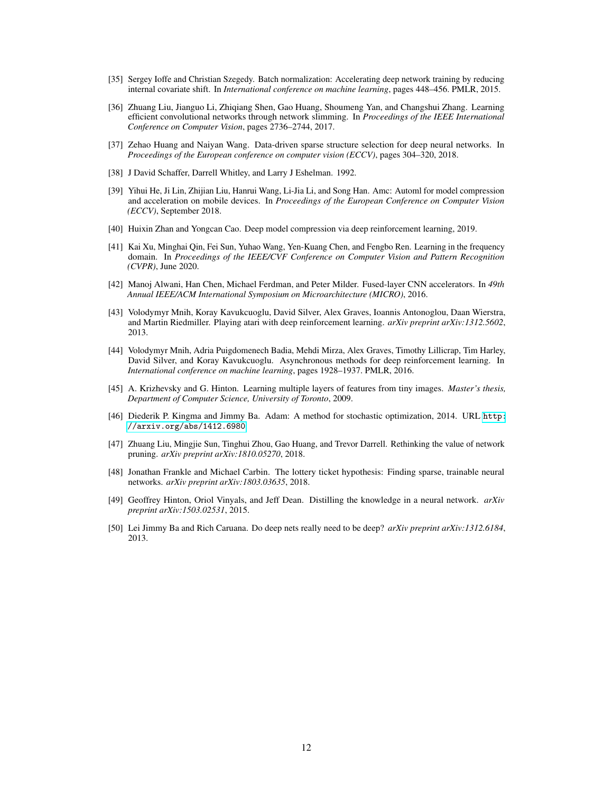- <span id="page-11-0"></span>[35] Sergey Ioffe and Christian Szegedy. Batch normalization: Accelerating deep network training by reducing internal covariate shift. In *International conference on machine learning*, pages 448–456. PMLR, 2015.
- <span id="page-11-1"></span>[36] Zhuang Liu, Jianguo Li, Zhiqiang Shen, Gao Huang, Shoumeng Yan, and Changshui Zhang. Learning efficient convolutional networks through network slimming. In *Proceedings of the IEEE International Conference on Computer Vision*, pages 2736–2744, 2017.
- <span id="page-11-2"></span>[37] Zehao Huang and Naiyan Wang. Data-driven sparse structure selection for deep neural networks. In *Proceedings of the European conference on computer vision (ECCV)*, pages 304–320, 2018.
- <span id="page-11-3"></span>[38] J David Schaffer, Darrell Whitley, and Larry J Eshelman. 1992.
- <span id="page-11-4"></span>[39] Yihui He, Ji Lin, Zhijian Liu, Hanrui Wang, Li-Jia Li, and Song Han. Amc: Automl for model compression and acceleration on mobile devices. In *Proceedings of the European Conference on Computer Vision (ECCV)*, September 2018.
- <span id="page-11-5"></span>[40] Huixin Zhan and Yongcan Cao. Deep model compression via deep reinforcement learning, 2019.
- <span id="page-11-6"></span>[41] Kai Xu, Minghai Qin, Fei Sun, Yuhao Wang, Yen-Kuang Chen, and Fengbo Ren. Learning in the frequency domain. In *Proceedings of the IEEE/CVF Conference on Computer Vision and Pattern Recognition (CVPR)*, June 2020.
- <span id="page-11-7"></span>[42] Manoj Alwani, Han Chen, Michael Ferdman, and Peter Milder. Fused-layer CNN accelerators. In *49th Annual IEEE/ACM International Symposium on Microarchitecture (MICRO)*, 2016.
- <span id="page-11-8"></span>[43] Volodymyr Mnih, Koray Kavukcuoglu, David Silver, Alex Graves, Ioannis Antonoglou, Daan Wierstra, and Martin Riedmiller. Playing atari with deep reinforcement learning. *arXiv preprint arXiv:1312.5602*, 2013.
- <span id="page-11-9"></span>[44] Volodymyr Mnih, Adria Puigdomenech Badia, Mehdi Mirza, Alex Graves, Timothy Lillicrap, Tim Harley, David Silver, and Koray Kavukcuoglu. Asynchronous methods for deep reinforcement learning. In *International conference on machine learning*, pages 1928–1937. PMLR, 2016.
- <span id="page-11-10"></span>[45] A. Krizhevsky and G. Hinton. Learning multiple layers of features from tiny images. *Master's thesis, Department of Computer Science, University of Toronto*, 2009.
- <span id="page-11-11"></span>[46] Diederik P. Kingma and Jimmy Ba. Adam: A method for stochastic optimization, 2014. URL [http:](http://arxiv.org/abs/1412.6980) [//arxiv.org/abs/1412.6980](http://arxiv.org/abs/1412.6980).
- <span id="page-11-12"></span>[47] Zhuang Liu, Mingjie Sun, Tinghui Zhou, Gao Huang, and Trevor Darrell. Rethinking the value of network pruning. *arXiv preprint arXiv:1810.05270*, 2018.
- <span id="page-11-13"></span>[48] Jonathan Frankle and Michael Carbin. The lottery ticket hypothesis: Finding sparse, trainable neural networks. *arXiv preprint arXiv:1803.03635*, 2018.
- <span id="page-11-14"></span>[49] Geoffrey Hinton, Oriol Vinyals, and Jeff Dean. Distilling the knowledge in a neural network. *arXiv preprint arXiv:1503.02531*, 2015.
- <span id="page-11-15"></span>[50] Lei Jimmy Ba and Rich Caruana. Do deep nets really need to be deep? *arXiv preprint arXiv:1312.6184*, 2013.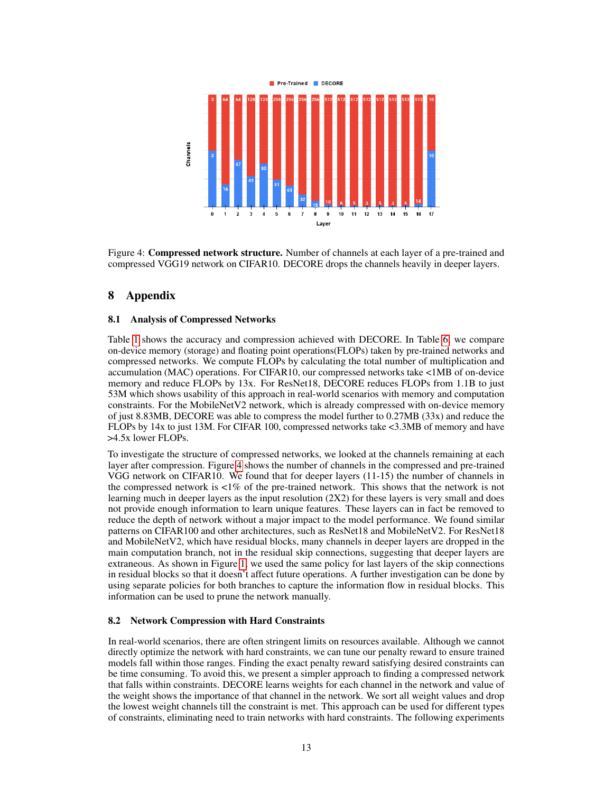

<span id="page-12-1"></span>Figure 4: Compressed network structure. Number of channels at each layer of a pre-trained and compressed VGG19 network on CIFAR10. DECORE drops the channels heavily in deeper layers.

# <span id="page-12-0"></span>8 Appendix

### 8.1 Analysis of Compressed Networks

Table [1](#page-5-0) shows the accuracy and compression achieved with DECORE. In Table [6,](#page-13-0) we compare on-device memory (storage) and floating point operations(FLOPs) taken by pre-trained networks and compressed networks. We compute FLOPs by calculating the total number of multiplication and accumulation (MAC) operations. For CIFAR10, our compressed networks take <1MB of on-device memory and reduce FLOPs by 13x. For ResNet18, DECORE reduces FLOPs from 1.1B to just 53M which shows usability of this approach in real-world scenarios with memory and computation constraints. For the MobileNetV2 network, which is already compressed with on-device memory of just 8.83MB, DECORE was able to compress the model further to 0.27MB (33x) and reduce the FLOPs by 14x to just 13M. For CIFAR 100, compressed networks take <3.3MB of memory and have >4.5x lower FLOPs.

To investigate the structure of compressed networks, we looked at the channels remaining at each layer after compression. Figure [4](#page-12-1) shows the number of channels in the compressed and pre-trained VGG network on CIFAR10. We found that for deeper layers (11-15) the number of channels in the compressed network is  $\langle 1\% \rangle$  of the pre-trained network. This shows that the network is not learning much in deeper layers as the input resolution (2X2) for these layers is very small and does not provide enough information to learn unique features. These layers can in fact be removed to reduce the depth of network without a major impact to the model performance. We found similar patterns on CIFAR100 and other architectures, such as ResNet18 and MobileNetV2. For ResNet18 and MobileNetV2, which have residual blocks, many channels in deeper layers are dropped in the main computation branch, not in the residual skip connections, suggesting that deeper layers are extraneous. As shown in Figure [1,](#page-2-0) we used the same policy for last layers of the skip connections in residual blocks so that it doesn't affect future operations. A further investigation can be done by using separate policies for both branches to capture the information flow in residual blocks. This information can be used to prune the network manually.

### 8.2 Network Compression with Hard Constraints

In real-world scenarios, there are often stringent limits on resources available. Although we cannot directly optimize the network with hard constraints, we can tune our penalty reward to ensure trained models fall within those ranges. Finding the exact penalty reward satisfying desired constraints can be time consuming. To avoid this, we present a simpler approach to finding a compressed network that falls within constraints. DECORE learns weights for each channel in the network and value of the weight shows the importance of that channel in the network. We sort all weight values and drop the lowest weight channels till the constraint is met. This approach can be used for different types of constraints, eliminating need to train networks with hard constraints. The following experiments